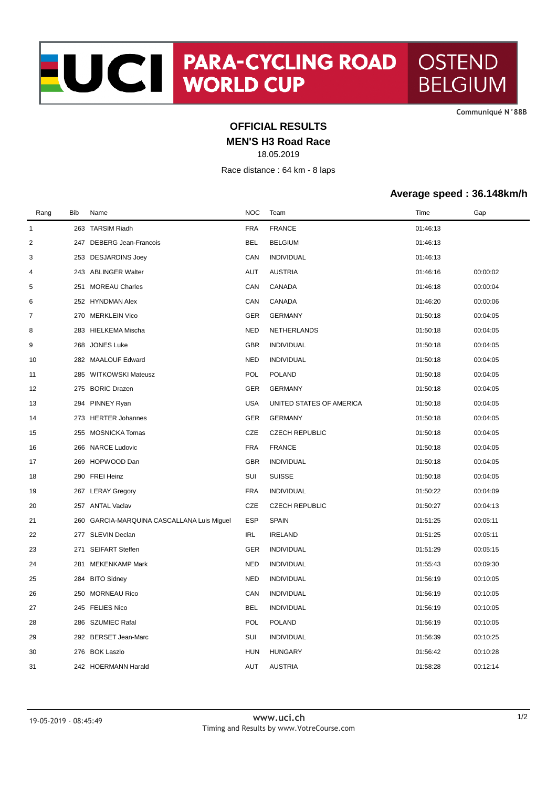**CommuniquÈ N°88B**

## **OFFICIAL RESULTS**

**MEN'S H3 Road Race**

18.05.2019

Race distance : 64 km - 8 laps

## **Average speed : 36.148km/h**

| Rang           | Bib | Name                                   | <b>NOC</b> | Team                     | Time     | Gap      |
|----------------|-----|----------------------------------------|------------|--------------------------|----------|----------|
| $\mathbf{1}$   |     | 263 TARSIM Riadh                       | <b>FRA</b> | <b>FRANCE</b>            | 01:46:13 |          |
| 2              |     | 247 DEBERG Jean-Francois               | <b>BEL</b> | <b>BELGIUM</b>           | 01:46:13 |          |
| 3              | 253 | <b>DESJARDINS Joey</b>                 | CAN        | <b>INDIVIDUAL</b>        | 01:46:13 |          |
| 4              | 243 | <b>ABLINGER Walter</b>                 | AUT        | <b>AUSTRIA</b>           | 01:46:16 | 00:00:02 |
| 5              | 251 | <b>MOREAU Charles</b>                  | CAN        | CANADA                   | 01:46:18 | 00:00:04 |
| 6              |     | 252 HYNDMAN Alex                       | CAN        | CANADA                   | 01:46:20 | 00:00:06 |
| $\overline{7}$ | 270 | <b>MERKLEIN Vico</b>                   | <b>GER</b> | <b>GERMANY</b>           | 01:50:18 | 00:04:05 |
| 8              | 283 | HIELKEMA Mischa                        | <b>NED</b> | NETHERLANDS              | 01:50:18 | 00:04:05 |
| 9              | 268 | <b>JONES Luke</b>                      | <b>GBR</b> | <b>INDIVIDUAL</b>        | 01:50:18 | 00:04:05 |
| 10             |     | 282 MAALOUF Edward                     | <b>NED</b> | <b>INDIVIDUAL</b>        | 01:50:18 | 00:04:05 |
| 11             | 285 | WITKOWSKI Mateusz                      | POL        | <b>POLAND</b>            | 01:50:18 | 00:04:05 |
| 12             | 275 | <b>BORIC Drazen</b>                    | <b>GER</b> | <b>GERMANY</b>           | 01:50:18 | 00:04:05 |
| 13             | 294 | <b>PINNEY Ryan</b>                     | <b>USA</b> | UNITED STATES OF AMERICA | 01:50:18 | 00:04:05 |
| 14             | 273 | <b>HERTER Johannes</b>                 | <b>GER</b> | <b>GERMANY</b>           | 01:50:18 | 00:04:05 |
| 15             | 255 | <b>MOSNICKA Tomas</b>                  | CZE        | <b>CZECH REPUBLIC</b>    | 01:50:18 | 00:04:05 |
| 16             | 266 | <b>NARCE Ludovic</b>                   | <b>FRA</b> | <b>FRANCE</b>            | 01:50:18 | 00:04:05 |
| 17             | 269 | HOPWOOD Dan                            | <b>GBR</b> | <b>INDIVIDUAL</b>        | 01:50:18 | 00:04:05 |
| 18             |     | 290 FREI Heinz                         | SUI        | <b>SUISSE</b>            | 01:50:18 | 00:04:05 |
| 19             | 267 | <b>LERAY Gregory</b>                   | <b>FRA</b> | <b>INDIVIDUAL</b>        | 01:50:22 | 00:04:09 |
| 20             |     | 257 ANTAL Vaclav                       | <b>CZE</b> | <b>CZECH REPUBLIC</b>    | 01:50:27 | 00:04:13 |
| 21             | 260 | GARCIA-MARQUINA CASCALLANA Luis Miguel | <b>ESP</b> | <b>SPAIN</b>             | 01:51:25 | 00:05:11 |
| 22             | 277 | SLEVIN Declan                          | <b>IRL</b> | <b>IRELAND</b>           | 01:51:25 | 00:05:11 |
| 23             | 271 | <b>SEIFART Steffen</b>                 | <b>GER</b> | <b>INDIVIDUAL</b>        | 01:51:29 | 00:05:15 |
| 24             |     | 281 MEKENKAMP Mark                     | <b>NED</b> | <b>INDIVIDUAL</b>        | 01:55:43 | 00:09:30 |
| 25             |     | 284 BITO Sidney                        | <b>NED</b> | <b>INDIVIDUAL</b>        | 01:56:19 | 00:10:05 |
| 26             | 250 | <b>MORNEAU Rico</b>                    | CAN        | <b>INDIVIDUAL</b>        | 01:56:19 | 00:10:05 |
| 27             |     | 245 FELIES Nico                        | BEL        | <b>INDIVIDUAL</b>        | 01:56:19 | 00:10:05 |
| 28             | 286 | <b>SZUMIEC Rafal</b>                   | POL        | <b>POLAND</b>            | 01:56:19 | 00:10:05 |
| 29             | 292 | <b>BERSET Jean-Marc</b>                | SUI        | <b>INDIVIDUAL</b>        | 01:56:39 | 00:10:25 |
| 30             | 276 | <b>BOK Laszlo</b>                      | <b>HUN</b> | <b>HUNGARY</b>           | 01:56:42 | 00:10:28 |
| 31             |     | 242 HOERMANN Harald                    | <b>AUT</b> | <b>AUSTRIA</b>           | 01:58:28 | 00:12:14 |